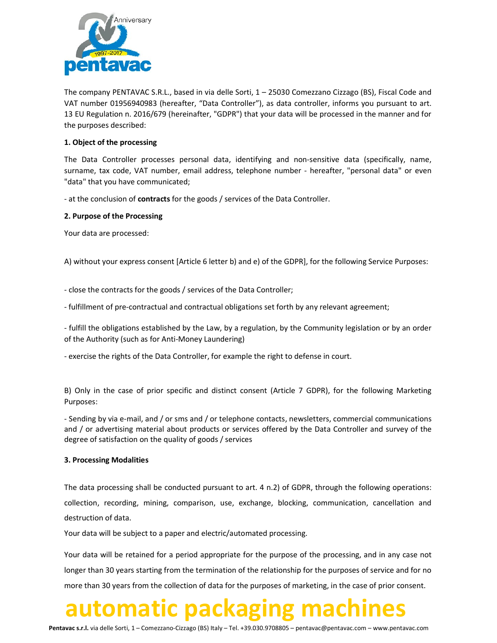

The company PENTAVAC S.R.L., based in via delle Sorti, 1 – 25030 Comezzano Cizzago (BS), Fiscal Code and VAT number 01956940983 (hereafter, "Data Controller"), as data controller, informs you pursuant to art. 13 EU Regulation n. 2016/679 (hereinafter, "GDPR") that your data will be processed in the manner and for the purposes described:

### 1. Object of the processing

The Data Controller processes personal data, identifying and non-sensitive data (specifically, name, surname, tax code, VAT number, email address, telephone number - hereafter, "personal data" or even "data" that you have communicated;

- at the conclusion of **contracts** for the goods / services of the Data Controller.

### 2. Purpose of the Processing

Your data are processed:

A) without your express consent [Article 6 letter b) and e) of the GDPR], for the following Service Purposes:

- close the contracts for the goods / services of the Data Controller;

- fulfillment of pre-contractual and contractual obligations set forth by any relevant agreement;

- fulfill the obligations established by the Law, by a regulation, by the Community legislation or by an order of the Authority (such as for Anti-Money Laundering)

- exercise the rights of the Data Controller, for example the right to defense in court.

B) Only in the case of prior specific and distinct consent (Article 7 GDPR), for the following Marketing Purposes:

- Sending by via e-mail, and / or sms and / or telephone contacts, newsletters, commercial communications and / or advertising material about products or services offered by the Data Controller and survey of the degree of satisfaction on the quality of goods / services

### 3. Processing Modalities

The data processing shall be conducted pursuant to art. 4 n.2) of GDPR, through the following operations: collection, recording, mining, comparison, use, exchange, blocking, communication, cancellation and destruction of data.

Your data will be subject to a paper and electric/automated processing.

Your data will be retained for a period appropriate for the purpose of the processing, and in any case not longer than 30 years starting from the termination of the relationship for the purposes of service and for no more than 30 years from the collection of data for the purposes of marketing, in the case of prior consent.

## automatic packaging machines

Pentavac s.r.l. via delle Sorti, 1 – Comezzano-Cizzago (BS) Italy – Tel. +39.030.9708805 – pentavac@pentavac.com – www.pentavac.com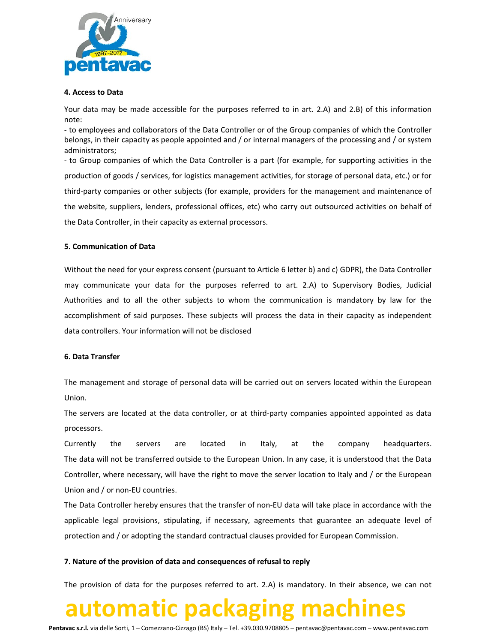

#### 4. Access to Data

Your data may be made accessible for the purposes referred to in art. 2.A) and 2.B) of this information note:

- to employees and collaborators of the Data Controller or of the Group companies of which the Controller belongs, in their capacity as people appointed and / or internal managers of the processing and / or system administrators;

- to Group companies of which the Data Controller is a part (for example, for supporting activities in the production of goods / services, for logistics management activities, for storage of personal data, etc.) or for third-party companies or other subjects (for example, providers for the management and maintenance of the website, suppliers, lenders, professional offices, etc) who carry out outsourced activities on behalf of the Data Controller, in their capacity as external processors.

### 5. Communication of Data

Without the need for your express consent (pursuant to Article 6 letter b) and c) GDPR), the Data Controller may communicate your data for the purposes referred to art. 2.A) to Supervisory Bodies, Judicial Authorities and to all the other subjects to whom the communication is mandatory by law for the accomplishment of said purposes. These subjects will process the data in their capacity as independent data controllers. Your information will not be disclosed

#### 6. Data Transfer

The management and storage of personal data will be carried out on servers located within the European Union.

The servers are located at the data controller, or at third-party companies appointed appointed as data processors.

Currently the servers are located in Italy, at the company headquarters. The data will not be transferred outside to the European Union. In any case, it is understood that the Data Controller, where necessary, will have the right to move the server location to Italy and / or the European Union and / or non-EU countries.

The Data Controller hereby ensures that the transfer of non-EU data will take place in accordance with the applicable legal provisions, stipulating, if necessary, agreements that guarantee an adequate level of protection and / or adopting the standard contractual clauses provided for European Commission.

### 7. Nature of the provision of data and consequences of refusal to reply

The provision of data for the purposes referred to art. 2.A) is mandatory. In their absence, we can not

## automatic packaging machines

Pentavac s.r.l. via delle Sorti, 1 – Comezzano-Cizzago (BS) Italy – Tel. +39.030.9708805 – pentavac@pentavac.com – www.pentavac.com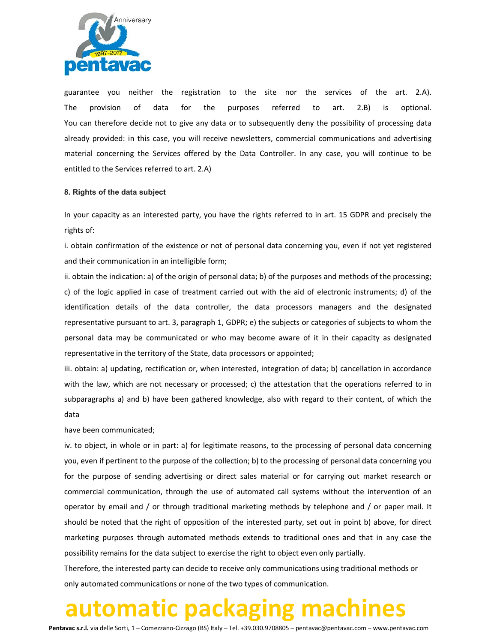

guarantee you neither the registration to the site nor the services of the art. 2.A). The provision of data for the purposes referred to art. 2.B) is optional. You can therefore decide not to give any data or to subsequently deny the possibility of processing data already provided: in this case, you will receive newsletters, commercial communications and advertising material concerning the Services offered by the Data Controller. In any case, you will continue to be entitled to the Services referred to art. 2.A)

### 8. Rights of the data subject

In your capacity as an interested party, you have the rights referred to in art. 15 GDPR and precisely the rights of:

i. obtain confirmation of the existence or not of personal data concerning you, even if not yet registered and their communication in an intelligible form;

ii. obtain the indication: a) of the origin of personal data; b) of the purposes and methods of the processing; c) of the logic applied in case of treatment carried out with the aid of electronic instruments; d) of the identification details of the data controller, the data processors managers and the designated representative pursuant to art. 3, paragraph 1, GDPR; e) the subjects or categories of subjects to whom the personal data may be communicated or who may become aware of it in their capacity as designated representative in the territory of the State, data processors or appointed;

iii. obtain: a) updating, rectification or, when interested, integration of data; b) cancellation in accordance with the law, which are not necessary or processed; c) the attestation that the operations referred to in subparagraphs a) and b) have been gathered knowledge, also with regard to their content, of which the data

### have been communicated;

iv. to object, in whole or in part: a) for legitimate reasons, to the processing of personal data concerning you, even if pertinent to the purpose of the collection; b) to the processing of personal data concerning you for the purpose of sending advertising or direct sales material or for carrying out market research or commercial communication, through the use of automated call systems without the intervention of an operator by email and / or through traditional marketing methods by telephone and / or paper mail. It should be noted that the right of opposition of the interested party, set out in point b) above, for direct marketing purposes through automated methods extends to traditional ones and that in any case the possibility remains for the data subject to exercise the right to object even only partially.

Therefore, the interested party can decide to receive only communications using traditional methods or only automated communications or none of the two types of communication.

### automatic packaging machines

Pentavac s.r.l. via delle Sorti, 1 – Comezzano-Cizzago (BS) Italy – Tel. +39.030.9708805 – pentavac@pentavac.com – www.pentavac.com